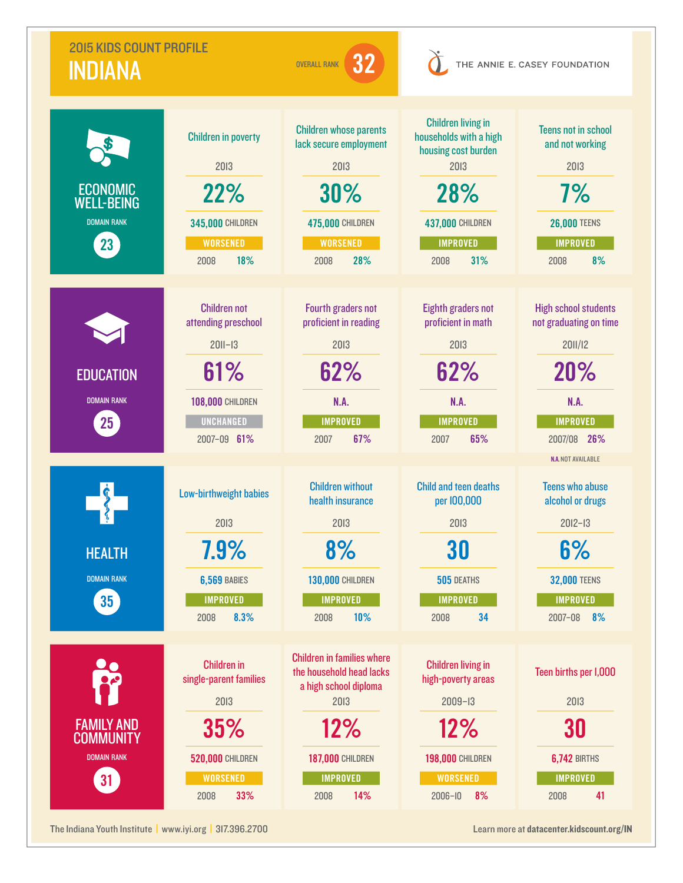| <b>2015 KIDS COUNT PROFILE</b><br>32<br><b>OVERALL RANK</b><br><b>INDIANA</b> |                                                                                                                                | THE ANNIE E. CASEY FOUNDATION                                                                                                                                      |                                                                                                                                                        |                                                                                                                                                       |
|-------------------------------------------------------------------------------|--------------------------------------------------------------------------------------------------------------------------------|--------------------------------------------------------------------------------------------------------------------------------------------------------------------|--------------------------------------------------------------------------------------------------------------------------------------------------------|-------------------------------------------------------------------------------------------------------------------------------------------------------|
| <b>ECONOMIC</b><br><b>WELL-BEING</b><br><b>DOMAIN RANK</b><br>23              | <b>Children in poverty</b><br>2013<br>22%<br><b>345,000 CHILDREN</b><br><b>WORSENED</b><br>18%<br>2008                         | <b>Children whose parents</b><br>lack secure employment<br>2013<br>30%<br><b>475,000 CHILDREN</b><br><b>WORSENED</b><br>28%<br>2008                                | <b>Children living in</b><br>households with a high<br>housing cost burden<br>2013<br>28%<br><b>437,000 CHILDREN</b><br><b>IMPROVED</b><br>31%<br>2008 | <b>Teens not in school</b><br>and not working<br>2013<br>7%<br><b>26,000 TEENS</b><br><b>IMPROVED</b><br>8%<br>2008                                   |
| <b>EDUCATION</b><br><b>DOMAIN RANK</b><br>$25\,$                              | <b>Children not</b><br>attending preschool<br>$2011 - 13$<br>61%<br><b>108,000 CHILDREN</b><br><b>UNCHANGED</b><br>2007-09 61% | Fourth graders not<br>proficient in reading<br>2013<br>62%<br>N.A.<br><b>IMPROVED</b><br>67%<br>2007                                                               | <b>Eighth graders not</b><br>proficient in math<br>2013<br>62%<br><b>N.A.</b><br><b>IMPROVED</b><br>65%<br>2007                                        | <b>High school students</b><br>not graduating on time<br>2011/12<br>20%<br><b>N.A.</b><br><b>IMPROVED</b><br>2007/08 26%<br><b>N.A. NOT AVAILABLE</b> |
| <b>HEALTH</b><br><b>DOMAIN RANK</b><br>35 <sup>2</sup>                        | Low-birthweight babies<br>2013<br>7.9%<br><b>6,569 BABIES</b><br><b>IMPROVED</b><br>8.3%<br>2008                               | <b>Children without</b><br>health insurance<br>2013<br>8%<br><b>130,000 CHILDREN</b><br><b>IMPROVED</b><br>10%<br>2008                                             | <b>Child and teen deaths</b><br>per 100,000<br>2013<br>30<br>505 DEATHS<br><b>IMPROVED</b><br>34<br>2008                                               | <b>Teens who abuse</b><br>alcohol or drugs<br>$2012 - 13$<br>6%<br><b>32,000 TEENS</b><br><b>IMPROVED</b><br>$2007 - 08$<br>8%                        |
| <b>FAMILY AND</b><br><b>COMMUNITY</b><br><b>DOMAIN RANK</b><br>31             | <b>Children in</b><br>single-parent families<br>2013<br>35%<br><b>520,000 CHILDREN</b><br><b>WORSENED</b><br>33%<br>2008       | <b>Children in families where</b><br>the household head lacks<br>a high school diploma<br>2013<br>12%<br><b>187,000 CHILDREN</b><br><b>IMPROVED</b><br>14%<br>2008 | <b>Children living in</b><br>high-poverty areas<br>$2009 - 13$<br>12%<br><b>198,000 CHILDREN</b><br><b>WORSENED</b><br>8%<br>$2006 - 10$               | Teen births per I,000<br>2013<br>30<br><b>6,742 BIRTHS</b><br><b>IMPROVED</b><br>41<br>2008                                                           |

The Indiana Youth Institute | [www.iyi.org](http://www.iyi.org) | 317.396.2700 Learn more at [datacenter.kidscount.org/IN](http://datacenter.kidscount.org/IN)